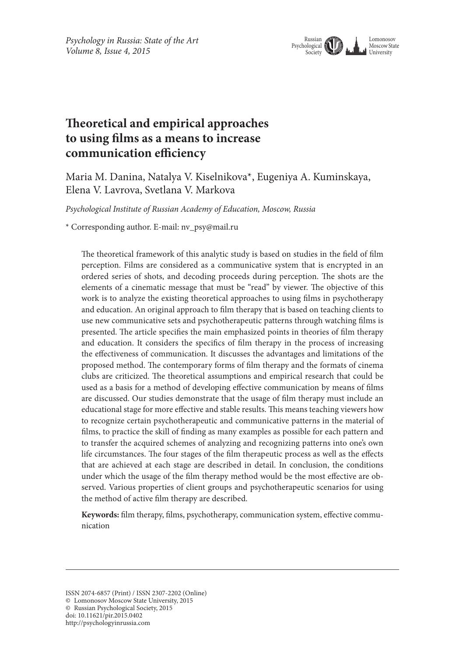

# **Theoretical and empirical approaches to using films as a means to increase communication efficiency**

Maria M. Danina, Natalya V. Kiselnikova\*, Eugeniya A. Kuminskaya, Elena V. Lavrova, Svetlana V. Markova

*Psychological Institute of Russian Academy of Education, Moscow, Russia*

\* Corresponding author. E-mail: nv\_psy@mail.ru

The theoretical framework of this analytic study is based on studies in the field of film perception. Films are considered as a communicative system that is encrypted in an ordered series of shots, and decoding proceeds during perception. The shots are the elements of a cinematic message that must be "read" by viewer. The objective of this work is to analyze the existing theoretical approaches to using films in psychotherapy and education. An original approach to film therapy that is based on teaching clients to use new communicative sets and psychotherapeutic patterns through watching films is presented. The article specifies the main emphasized points in theories of film therapy and education. It considers the specifics of film therapy in the process of increasing the effectiveness of communication. It discusses the advantages and limitations of the proposed method. The contemporary forms of film therapy and the formats of cinema clubs are criticized. The theoretical assumptions and empirical research that could be used as a basis for a method of developing effective communication by means of films are discussed. Our studies demonstrate that the usage of film therapy must include an educational stage for more effective and stable results. This means teaching viewers how to recognize certain psychotherapeutic and communicative patterns in the material of films, to practice the skill of finding as many examples as possible for each pattern and to transfer the acquired schemes of analyzing and recognizing patterns into one's own life circumstances. The four stages of the film therapeutic process as well as the effects that are achieved at each stage are described in detail. In conclusion, the conditions under which the usage of the film therapy method would be the most effective are observed. Various properties of client groups and psychotherapeutic scenarios for using the method of active film therapy are described.

**Keywords:** film therapy, films, psychotherapy, communication system, effective communication

© Russian Psychological Society, 2015 doi: 10.11621/pir.2015.0402

ISSN 2074-6857 (Print) / ISSN 2307-2202 (Online)

<sup>©</sup> Lomonosov Moscow State University, 2015

http://psychologyinrussia.com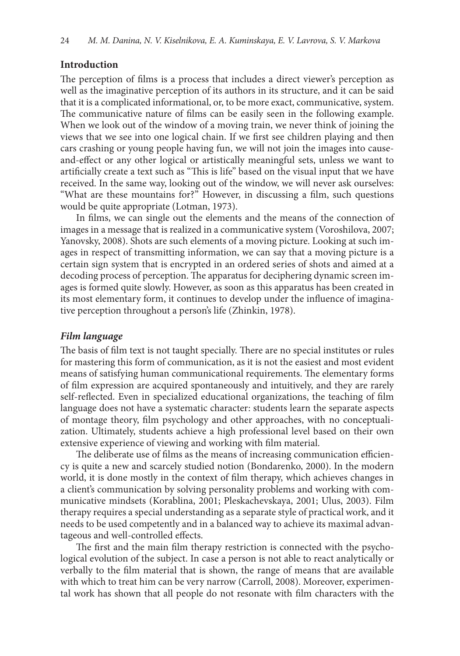### **Introduction**

The perception of films is a process that includes a direct viewer's perception as well as the imaginative perception of its authors in its structure, and it can be said that it is a complicated informational, or, to be more exact, communicative, system. The communicative nature of films can be easily seen in the following example. When we look out of the window of a moving train, we never think of joining the views that we see into one logical chain. If we first see children playing and then cars crashing or young people having fun, we will not join the images into causeand-effect or any other logical or artistically meaningful sets, unless we want to artificially create a text such as "This is life" based on the visual input that we have received. In the same way, looking out of the window, we will never ask ourselves: "What are these mountains for?" However, in discussing a film, such questions would be quite appropriate (Lotman, 1973).

In films, we can single out the elements and the means of the connection of images in a message that is realized in a communicative system (Voroshilova, 2007; Yanovsky, 2008). Shots are such elements of a moving picture. Looking at such images in respect of transmitting information, we can say that a moving picture is a certain sign system that is encrypted in an ordered series of shots and aimed at a decoding process of perception. The apparatus for deciphering dynamic screen images is formed quite slowly. However, as soon as this apparatus has been created in its most elementary form, it continues to develop under the influence of imaginative perception throughout a person's life (Zhinkin, 1978).

### *Film language*

The basis of film text is not taught specially. There are no special institutes or rules for mastering this form of communication, as it is not the easiest and most evident means of satisfying human communicational requirements. The elementary forms of film expression are acquired spontaneously and intuitively, and they are rarely self-reflected. Even in specialized educational organizations, the teaching of film language does not have a systematic character: students learn the separate aspects of montage theory, film psychology and other approaches, with no conceptualization. Ultimately, students achieve a high professional level based on their own extensive experience of viewing and working with film material.

The deliberate use of films as the means of increasing communication efficiency is quite a new and scarcely studied notion (Bondarenko, 2000). In the modern world, it is done mostly in the context of film therapy, which achieves changes in a client's communication by solving personality problems and working with communicative mindsets (Korablina, 2001; Pleskachevskaya, 2001; Ulus, 2003). Film therapy requires a special understanding as a separate style of practical work, and it needs to be used competently and in a balanced way to achieve its maximal advantageous and well-controlled effects.

The first and the main film therapy restriction is connected with the psychological evolution of the subject. In case a person is not able to react analytically or verbally to the film material that is shown, the range of means that are available with which to treat him can be very narrow (Carroll, 2008). Moreover, experimental work has shown that all people do not resonate with film characters with the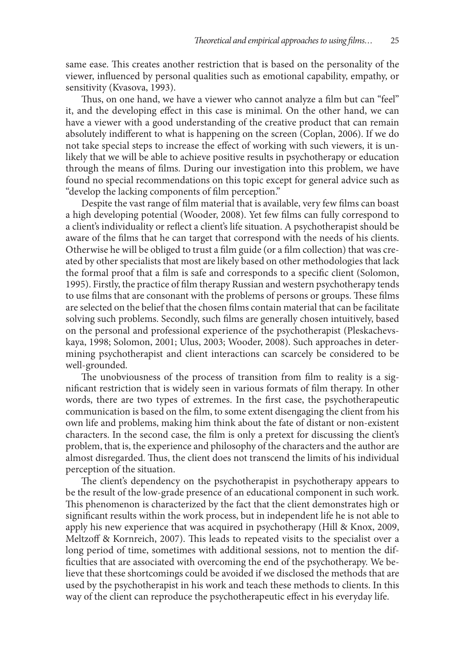same ease. This creates another restriction that is based on the personality of the viewer, influenced by personal qualities such as emotional capability, empathy, or sensitivity (Kvasova, 1993).

Thus, on one hand, we have a viewer who cannot analyze a film but can "feel" it, and the developing effect in this case is minimal. On the other hand, we can have a viewer with a good understanding of the creative product that can remain absolutely indifferent to what is happening on the screen (Coplan, 2006). If we do not take special steps to increase the effect of working with such viewers, it is unlikely that we will be able to achieve positive results in psychotherapy or education through the means of films. During our investigation into this problem, we have found no special recommendations on this topic except for general advice such as "develop the lacking components of film perception."

Despite the vast range of film material that is available, very few films can boast a high developing potential (Wooder, 2008). Yet few films can fully correspond to a client's individuality or reflect a client's life situation. A psychotherapist should be aware of the films that he can target that correspond with the needs of his clients. Otherwise he will be obliged to trust a film guide (or a film collection) that was created by other specialists that most are likely based on other methodologies that lack the formal proof that a film is safe and corresponds to a specific client (Solomon, 1995). Firstly, the practice of film therapy Russian and western psychotherapy tends to use films that are consonant with the problems of persons or groups. These films are selected on the belief that the chosen films contain material that can be facilitate solving such problems. Secondly, such films are generally chosen intuitively, based on the personal and professional experience of the psychotherapist (Pleskachevskaya, 1998; Solomon, 2001; Ulus, 2003; Wooder, 2008). Such approaches in determining psychotherapist and client interactions can scarcely be considered to be well-grounded.

The unobviousness of the process of transition from film to reality is a significant restriction that is widely seen in various formats of film therapy. In other words, there are two types of extremes. In the first case, the psychotherapeutic communication is based on the film, to some extent disengaging the client from his own life and problems, making him think about the fate of distant or non-existent characters. In the second case, the film is only a pretext for discussing the client's problem, that is, the experience and philosophy of the characters and the author are almost disregarded. Thus, the client does not transcend the limits of his individual perception of the situation.

The client's dependency on the psychotherapist in psychotherapy appears to be the result of the low-grade presence of an educational component in such work. This phenomenon is characterized by the fact that the client demonstrates high or significant results within the work process, but in independent life he is not able to apply his new experience that was acquired in psychotherapy (Hill & Knox, 2009, Meltzoff & Kornreich, 2007). This leads to repeated visits to the specialist over a long period of time, sometimes with additional sessions, not to mention the difficulties that are associated with overcoming the end of the psychotherapy. We believe that these shortcomings could be avoided if we disclosed the methods that are used by the psychotherapist in his work and teach these methods to clients. In this way of the client can reproduce the psychotherapeutic effect in his everyday life.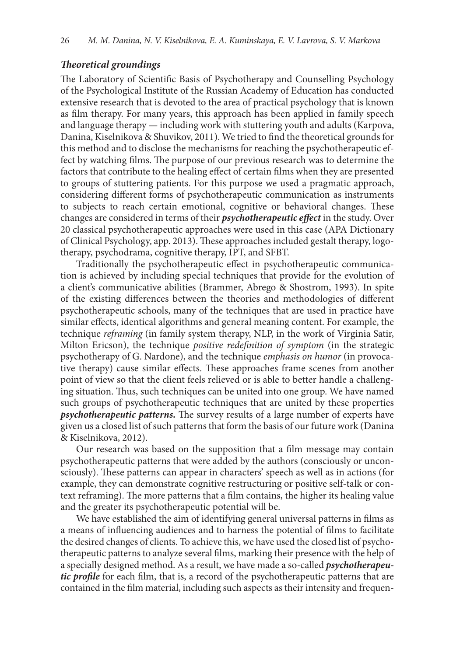# *Theoretical groundings*

The Laboratory of Scientific Basis of Psychotherapy and Counselling Psychology of the Psychological Institute of the Russian Academy of Education has conducted extensive research that is devoted to the area of practical psychology that is known as film therapy. For many years, this approach has been applied in family speech and language therapy — including work with stuttering youth and adults (Karpova, Danina, Kiselnikova & Shuvikov, 2011). We tried to find the theoretical grounds for this method and to disclose the mechanisms for reaching the psychotherapeutic effect by watching films. The purpose of our previous research was to determine the factors that contribute to the healing effect of certain films when they are presented to groups of stuttering patients. For this purpose we used a pragmatic approach, considering different forms of psychotherapeutic communication as instruments to subjects to reach certain emotional, cognitive or behavioral changes. These changes are considered in terms of their *psychotherapeutic effect* in the study. Over 20 classical psychotherapeutic approaches were used in this case (APA Dictionary of Clinical Psychology, app. 2013). These approaches included gestalt therapy, logotherapy, psychodrama, cognitive therapy, IPT, and SFBT.

Traditionally the psychotherapeutic effect in psychotherapeutic communication is achieved by including special techniques that provide for the evolution of a client's communicative abilities (Brammer, Abrego & Shostrom, 1993). In spite of the existing differences between the theories and methodologies of different psychotherapeutic schools, many of the techniques that are used in practice have similar effects, identical algorithms and general meaning content. For example, the technique *reframing* (in family system therapy, NLP, in the work of Virginia Satir, Milton Ericson), the technique *positive redefinition of symptom* (in the strategic psychotherapy of G. Nardone), and the technique *emphasis on humor* (in provocative therapy) cause similar effects. These approaches frame scenes from another point of view so that the client feels relieved or is able to better handle a challenging situation. Thus, such techniques can be united into one group. We have named such groups of psychotherapeutic techniques that are united by these properties *psychotherapeutic patterns.* The survey results of a large number of experts have given us a closed list of such patterns that form the basis of our future work (Danina & Kiselnikova, 2012).

Our research was based on the supposition that a film message may contain psychotherapeutic patterns that were added by the authors (consciously or unconsciously). These patterns can appear in characters' speech as well as in actions (for example, they can demonstrate cognitive restructuring or positive self-talk or context reframing). The more patterns that a film contains, the higher its healing value and the greater its psychotherapeutic potential will be.

We have established the aim of identifying general universal patterns in films as a means of influencing audiences and to harness the potential of films to facilitate the desired changes of clients. To achieve this, we have used the closed list of psychotherapeutic patterns to analyze several films, marking their presence with the help of a specially designed method. As a result, we have made a so-called *psychotherapeutic profile* for each film, that is, a record of the psychotherapeutic patterns that are contained in the film material, including such aspects as their intensity and frequen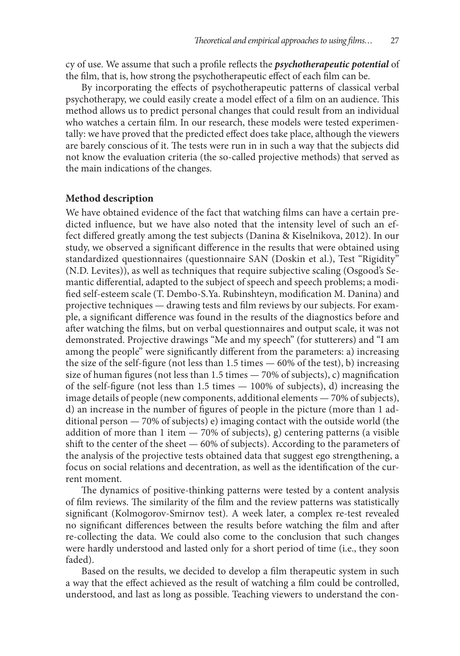cy of use. We assume that such a profile reflects the *psychotherapeutic potential* of the film, that is, how strong the psychotherapeutic effect of each film can be.

By incorporating the effects of psychotherapeutic patterns of classical verbal psychotherapy, we could easily create a model effect of a film on an audience. This method allows us to predict personal changes that could result from an individual who watches a certain film. In our research, these models were tested experimentally: we have proved that the predicted effect does take place, although the viewers are barely conscious of it. The tests were run in in such a way that the subjects did not know the evaluation criteria (the so-called projective methods) that served as the main indications of the changes.

### **Method description**

We have obtained evidence of the fact that watching films can have a certain predicted influence, but we have also noted that the intensity level of such an effect differed greatly among the test subjects (Danina & Kiselnikova, 2012). In our study, we observed a significant difference in the results that were obtained using standardized questionnaires (questionnaire SAN (Doskin et al.), Test "Rigidity" (N.D. Levites)), as well as techniques that require subjective scaling (Osgood's Semantic differential, adapted to the subject of speech and speech problems; a modified self-esteem scale (T. Dembo-S.Ya. Rubinshteyn, modification M. Danina) and projective techniques — drawing tests and film reviews by our subjects. For example, a significant difference was found in the results of the diagnostics before and after watching the films, but on verbal questionnaires and output scale, it was not demonstrated. Projective drawings "Me and my speech" (for stutterers) and "I am among the people" were significantly different from the parameters: a) increasing the size of the self-figure (not less than 1.5 times  $-60\%$  of the test), b) increasing size of human figures (not less than  $1.5$  times  $-70\%$  of subjects), c) magnification of the self-figure (not less than 1.5 times — 100% of subjects), d) increasing the image details of people (new components, additional elements — 70% of subjects), d) an increase in the number of figures of people in the picture (more than 1 additional person — 70% of subjects) e) imaging contact with the outside world (the addition of more than 1 item  $-70\%$  of subjects), g) centering patterns (a visible shift to the center of the sheet — 60% of subjects). According to the parameters of the analysis of the projective tests obtained data that suggest ego strengthening, a focus on social relations and decentration, as well as the identification of the current moment.

The dynamics of positive-thinking patterns were tested by a content analysis of film reviews. The similarity of the film and the review patterns was statistically significant (Kolmogorov-Smirnov test). А week later, a complex re-test revealed no significant differences between the results before watching the film and after re-collecting the data. We could also come to the conclusion that such changes were hardly understood and lasted only for a short period of time (i.e., they soon faded).

Based on the results, we decided to develop a film therapeutic system in such a way that the effect achieved as the result of watching a film could be controlled, understood, and last as long as possible. Teaching viewers to understand the con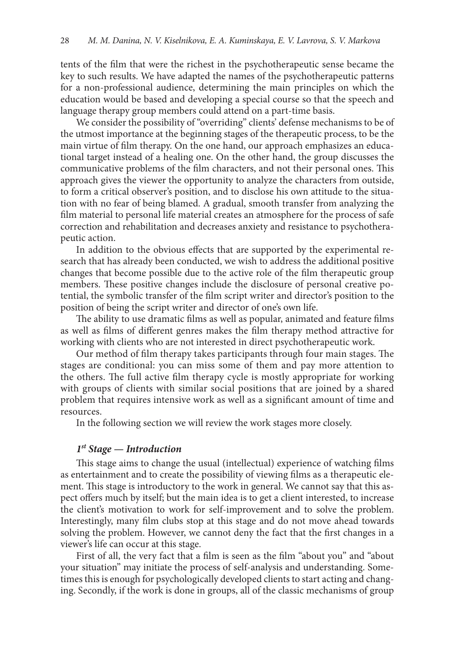tents of the film that were the richest in the psychotherapeutic sense became the key to such results. We have adapted the names of the psychotherapeutic patterns for a non-professional audience, determining the main principles on which the education would be based and developing a special course so that the speech and language therapy group members could attend on a part-time basis.

We consider the possibility of "overriding" clients' defense mechanisms to be of the utmost importance at the beginning stages of the therapeutic process, to be the main virtue of film therapy. On the one hand, our approach emphasizes an educational target instead of a healing one. On the other hand, the group discusses the communicative problems of the film characters, and not their personal ones. This approach gives the viewer the opportunity to analyze the characters from outside, to form a critical observer's position, and to disclose his own attitude to the situation with no fear of being blamed. A gradual, smooth transfer from analyzing the film material to personal life material creates an atmosphere for the process of safe correction and rehabilitation and decreases anxiety and resistance to psychotherapeutic action.

In addition to the obvious effects that are supported by the experimental research that has already been conducted, we wish to address the additional positive changes that become possible due to the active role of the film therapeutic group members. These positive changes include the disclosure of personal creative potential, the symbolic transfer of the film script writer and director's position to the position of being the script writer and director of one's own life.

The ability to use dramatic films as well as popular, animated and feature films as well as films of different genres makes the film therapy method attractive for working with clients who are not interested in direct psychotherapeutic work.

Our method of film therapy takes participants through four main stages. The stages are conditional: you can miss some of them and pay more attention to the others. The full active film therapy cycle is mostly appropriate for working with groups of clients with similar social positions that are joined by a shared problem that requires intensive work as well as a significant amount of time and resources.

In the following section we will review the work stages more closely.

#### *1st Stage — Introduction*

This stage aims to change the usual (intellectual) experience of watching films as entertainment and to create the possibility of viewing films as a therapeutic element. This stage is introductory to the work in general. We cannot say that this aspect offers much by itself; but the main idea is to get a client interested, to increase the client's motivation to work for self-improvement and to solve the problem. Interestingly, many film clubs stop at this stage and do not move ahead towards solving the problem. However, we cannot deny the fact that the first changes in a viewer's life can occur at this stage.

First of all, the very fact that a film is seen as the film "about you" and "about your situation" may initiate the process of self-analysis and understanding. Sometimes this is enough for psychologically developed clients to start acting and changing. Secondly, if the work is done in groups, all of the classic mechanisms of group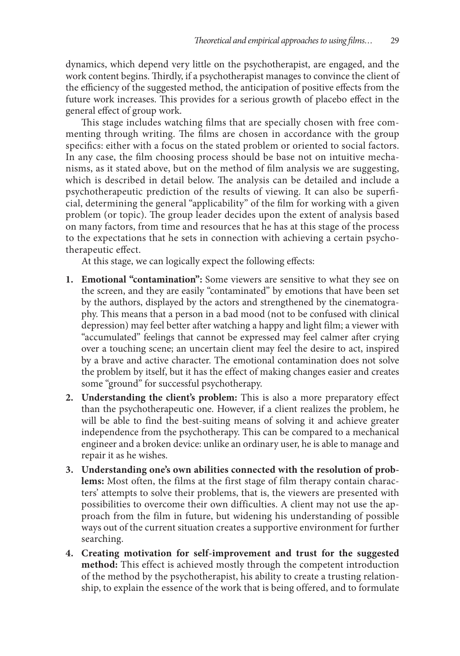dynamics, which depend very little on the psychotherapist, are engaged, and the work content begins. Thirdly, if a psychotherapist manages to convince the client of the efficiency of the suggested method, the anticipation of positive effects from the future work increases. This provides for a serious growth of placebo effect in the general effect of group work.

This stage includes watching films that are specially chosen with free commenting through writing. The films are chosen in accordance with the group specifics: either with a focus on the stated problem or oriented to social factors. In any case, the film choosing process should be base not on intuitive mechanisms, as it stated above, but on the method of film analysis we are suggesting, which is described in detail below. The analysis can be detailed and include a psychotherapeutic prediction of the results of viewing. It can also be superficial, determining the general "applicability" of the film for working with a given problem (or topic). The group leader decides upon the extent of analysis based on many factors, from time and resources that he has at this stage of the process to the expectations that he sets in connection with achieving a certain psychotherapeutic effect.

At this stage, we can logically expect the following effects:

- **1. Emotional "contamination":** Some viewers are sensitive to what they see on the screen, and they are easily "contaminated" by emotions that have been set by the authors, displayed by the actors and strengthened by the cinematography. This means that a person in a bad mood (not to be confused with clinical depression) may feel better after watching a happy and light film; a viewer with "accumulated" feelings that cannot be expressed may feel calmer after crying over a touching scene; an uncertain client may feel the desire to act, inspired by a brave and active character. The emotional contamination does not solve the problem by itself, but it has the effect of making changes easier and creates some "ground" for successful psychotherapy.
- **2. Understanding the client's problem:** This is also a more preparatory effect than the psychotherapeutic one. However, if a client realizes the problem, he will be able to find the best-suiting means of solving it and achieve greater independence from the psychotherapy. This can be compared to a mechanical engineer and a broken device: unlike an ordinary user, he is able to manage and repair it as he wishes.
- **3. Understanding one's own abilities connected with the resolution of problems:** Most often, the films at the first stage of film therapy contain characters' attempts to solve their problems, that is, the viewers are presented with possibilities to overcome their own difficulties. A client may not use the approach from the film in future, but widening his understanding of possible ways out of the current situation creates a supportive environment for further searching.
- **4. Creating motivation for self-improvement and trust for the suggested method:** This effect is achieved mostly through the competent introduction of the method by the psychotherapist, his ability to create a trusting relationship, to explain the essence of the work that is being offered, and to formulate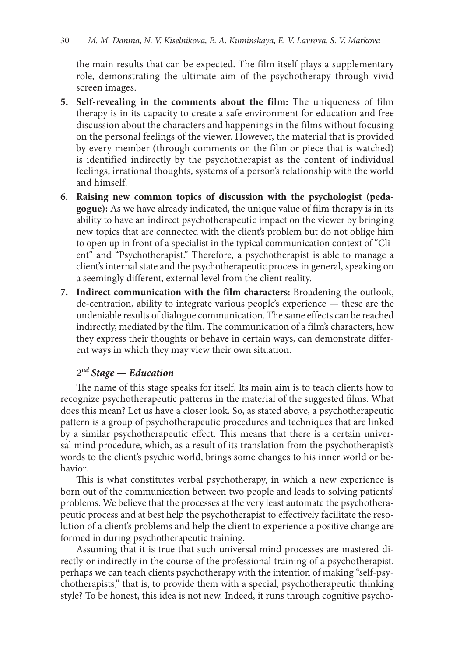the main results that can be expected. The film itself plays a supplementary role, demonstrating the ultimate aim of the psychotherapy through vivid screen images.

- **5. Self-revealing in the comments about the film:** The uniqueness of film therapy is in its capacity to create a safe environment for education and free discussion about the characters and happenings in the films without focusing on the personal feelings of the viewer. However, the material that is provided by every member (through comments on the film or piece that is watched) is identified indirectly by the psychotherapist as the content of individual feelings, irrational thoughts, systems of a person's relationship with the world and himself.
- **6. Raising new common topics of discussion with the psychologist (pedagogue):** As we have already indicated, the unique value of film therapy is in its ability to have an indirect psychotherapeutic impact on the viewer by bringing new topics that are connected with the client's problem but do not oblige him to open up in front of a specialist in the typical communication context of "Client" and "Psychotherapist." Therefore, a psychotherapist is able to manage a client's internal state and the psychotherapeutic process in general, speaking on a seemingly different, external level from the client reality.
- **7. Indirect communication with the film characters:** Broadening the outlook, de-centration, ability to integrate various people's experience — these are the undeniable results of dialogue communication. The same effects can be reached indirectly, mediated by the film. The communication of a film's characters, how they express their thoughts or behave in certain ways, can demonstrate different ways in which they may view their own situation.

# *2nd Stage — Education*

The name of this stage speaks for itself. Its main aim is to teach clients how to recognize psychotherapeutic patterns in the material of the suggested films. What does this mean? Let us have a closer look. So, as stated above, a psychotherapeutic pattern is a group of psychotherapeutic procedures and techniques that are linked by a similar psychotherapeutic effect. This means that there is a certain universal mind procedure, which, as a result of its translation from the psychotherapist's words to the client's psychic world, brings some changes to his inner world or behavior.

This is what constitutes verbal psychotherapy, in which a new experience is born out of the communication between two people and leads to solving patients' problems. We believe that the processes at the very least automate the psychotherapeutic process and at best help the psychotherapist to effectively facilitate the resolution of a client's problems and help the client to experience a positive change are formed in during psychotherapeutic training.

Assuming that it is true that such universal mind processes are mastered directly or indirectly in the course of the professional training of a psychotherapist, perhaps we can teach clients psychotherapy with the intention of making "self-psychotherapists," that is, to provide them with a special, psychotherapeutic thinking style? To be honest, this idea is not new. Indeed, it runs through cognitive psycho-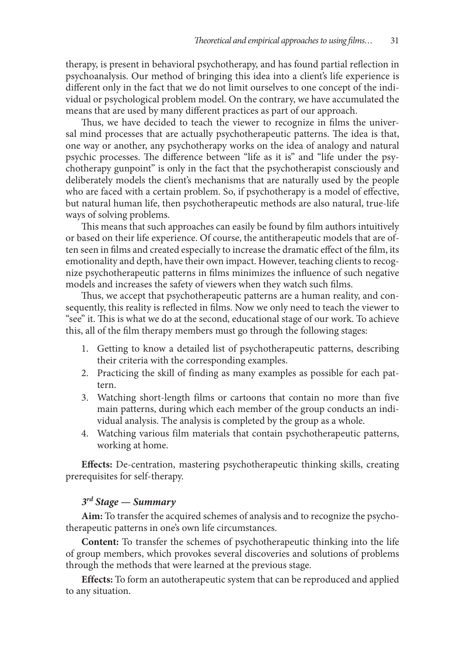therapy, is present in behavioral psychotherapy, and has found partial reflection in psychoanalysis. Our method of bringing this idea into a client's life experience is different only in the fact that we do not limit ourselves to one concept of the individual or psychological problem model. On the contrary, we have accumulated the means that are used by many different practices as part of our approach.

Thus, we have decided to teach the viewer to recognize in films the universal mind processes that are actually psychotherapeutic patterns. The idea is that, one way or another, any psychotherapy works on the idea of analogy and natural psychic processes. The difference between "life as it is" and "life under the psychotherapy gunpoint" is only in the fact that the psychotherapist consciously and deliberately models the client's mechanisms that are naturally used by the people who are faced with a certain problem. So, if psychotherapy is a model of effective, but natural human life, then psychotherapeutic methods are also natural, true-life ways of solving problems.

This means that such approaches can easily be found by film authors intuitively or based on their life experience. Of course, the antitherapeutic models that are often seen in films and created especially to increase the dramatic effect of the film, its emotionality and depth, have their own impact. However, teaching clients to recognize psychotherapeutic patterns in films minimizes the influence of such negative models and increases the safety of viewers when they watch such films.

Thus, we accept that psychotherapeutic patterns are a human reality, and consequently, this reality is reflected in films. Now we only need to teach the viewer to "see" it. This is what we do at the second, educational stage of our work. To achieve this, all of the film therapy members must go through the following stages:

- 1. Getting to know a detailed list of psychotherapeutic patterns, describing their criteria with the corresponding examples.
- 2. Practicing the skill of finding as many examples as possible for each pattern.
- 3. Watching short-length films or cartoons that contain no more than five main patterns, during which each member of the group conducts an individual analysis. The analysis is completed by the group as a whole.
- 4. Watching various film materials that contain psychotherapeutic patterns, working at home.

**Effects:** De-centration, mastering psychotherapeutic thinking skills, creating prerequisites for self-therapy.

# *3rd Stage — Summary*

**Aim:** To transfer the acquired schemes of analysis and to recognize the psychotherapeutic patterns in one's own life circumstances.

**Content:** To transfer the schemes of psychotherapeutic thinking into the life of group members, which provokes several discoveries and solutions of problems through the methods that were learned at the previous stage.

**Effects:** To form an autotherapeutic system that can be reproduced and applied to any situation.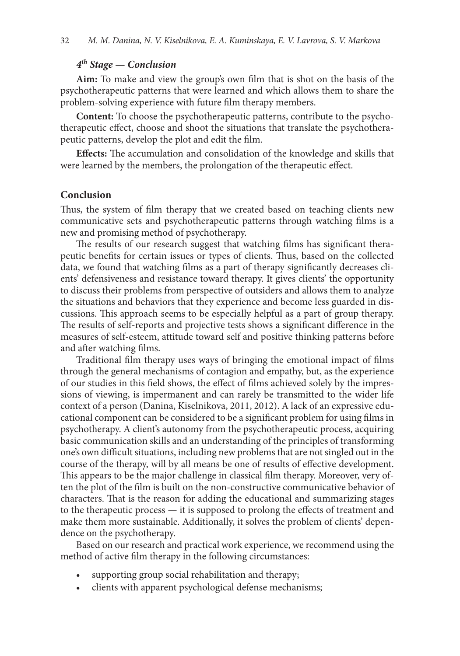# *4th Stage — Conclusion*

**Aim:** To make and view the group's own film that is shot on the basis of the psychotherapeutic patterns that were learned and which allows them to share the problem-solving experience with future film therapy members.

**Content:** To choose the psychotherapeutic patterns, contribute to the psychotherapeutic effect, choose and shoot the situations that translate the psychotherapeutic patterns, develop the plot and edit the film.

**Effects:** The accumulation and consolidation of the knowledge and skills that were learned by the members, the prolongation of the therapeutic effect.

# **Conclusion**

Thus, the system of film therapy that we created based on teaching clients new communicative sets and psychotherapeutic patterns through watching films is a new and promising method of psychotherapy.

The results of our research suggest that watching films has significant therapeutic benefits for certain issues or types of clients. Thus, based on the collected data, we found that watching films as a part of therapy significantly decreases clients' defensiveness and resistance toward therapy. It gives clients' the opportunity to discuss their problems from perspective of outsiders and allows them to analyze the situations and behaviors that they experience and become less guarded in discussions. This approach seems to be especially helpful as a part of group therapy. The results of self-reports and projective tests shows a significant difference in the measures of self-esteem, attitude toward self and positive thinking patterns before and after watching films.

Traditional film therapy uses ways of bringing the emotional impact of films through the general mechanisms of contagion and empathy, but, as the experience of our studies in this field shows, the effect of films achieved solely by the impressions of viewing, is impermanent and can rarely be transmitted to the wider life context of a person (Danina, Kiselnikova, 2011, 2012). A lack of an expressive educational component can be considered to be a significant problem for using films in psychotherapy. A client's autonomy from the psychotherapeutic process, acquiring basic communication skills and an understanding of the principles of transforming one's own difficult situations, including new problems that are not singled out in the course of the therapy, will by all means be one of results of effective development. This appears to be the major challenge in classical film therapy. Moreover, very often the plot of the film is built on the non-constructive communicative behavior of characters. That is the reason for adding the educational and summarizing stages to the therapeutic process — it is supposed to prolong the effects of treatment and make them more sustainable. Additionally, it solves the problem of clients' dependence on the psychotherapy.

Based on our research and practical work experience, we recommend using the method of active film therapy in the following circumstances:

- supporting group social rehabilitation and therapy;
- clients with apparent psychological defense mechanisms;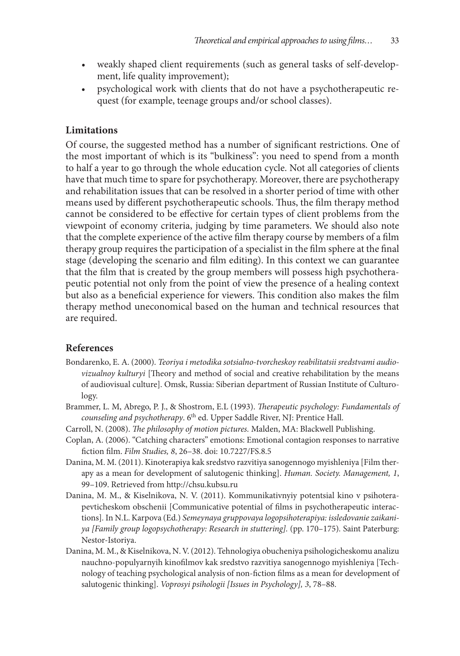- weakly shaped client requirements (such as general tasks of self-development, life quality improvement);
- psychological work with clients that do not have a psychotherapeutic request (for example, teenage groups and/or school classes).

# **Limitations**

Of course, the suggested method has a number of significant restrictions. One of the most important of which is its "bulkiness": you need to spend from a month to half a year to go through the whole education cycle. Not all categories of clients have that much time to spare for psychotherapy. Moreover, there are psychotherapy and rehabilitation issues that can be resolved in a shorter period of time with other means used by different psychotherapeutic schools. Thus, the film therapy method cannot be considered to be effective for certain types of client problems from the viewpoint of economy criteria, judging by time parameters. We should also note that the complete experience of the active film therapy course by members of a film therapy group requires the participation of a specialist in the film sphere at the final stage (developing the scenario and film editing). In this context we can guarantee that the film that is created by the group members will possess high psychotherapeutic potential not only from the point of view the presence of a healing context but also as a beneficial experience for viewers. This condition also makes the film therapy method uneconomical based on the human and technical resources that are required.

### **References**

- Bondarenko, E. A. (2000). *Teoriya i metodika sotsialno-tvorcheskoy reabilitatsii sredstvami audiovizualnoy kulturyi* [Theory and method of social and creative rehabilitation by the means of audiovisual culture]. Omsk, Russia: Siberian department of Russian Institute of Culturology.
- Brammer, L. M, Abrego, P. J., & Shostrom, E.L (1993). *Therapeutic psychology: Fundamentals of counseling and psychotherapy*. 6th ed. Upper Saddle River, NJ: Prentice Hall.
- Carroll, N. (2008). *The philosophy of motion pictures.* Malden, MA: Blackwell Publishing.
- Coplan, A. (2006). "Catching characters" emotions: Emotional contagion responses to narrative fiction film. *Film Studies, 8*, 26–38. doi: 10.7227/FS.8.5
- Danina, M. M. (2011). Kinoterapiya kak sredstvo razvitiya sanogennogo myishleniya [Film therapy as a mean for development of salutogenic thinking]. *Human. Society. Management, 1*, 99–109. Retrieved from http://chsu.kubsu.ru
- Danina, M. M., & Kiselnikova, N. V. (2011). Kommunikativnyiy potentsial kino v psihoterapevticheskom obschenii [Communicative potential of films in psychotherapeutic interactions]*.* In N.L. Karpova (Ed.) *Semeynaya gruppovaya logopsihoterapiya: issledovanie zaikaniya [Family group logopsychotherapy: Research in stuttering].* (pp. 170–175)*.* Saint Paterburg: Nestor-Istoriya.
- Danina, M. M., & Kiselnikova, N. V. (2012). Tehnologiya obucheniya psihologicheskomu analizu nauchno-populyarnyih kinofilmov kak sredstvo razvitiya sanogennogo myishleniya [Technology of teaching psychological analysis of non-fiction films as a mean for development of salutogenic thinking]. *Voprosyi psihologii [Issues in Psychology], 3*, 78–88.